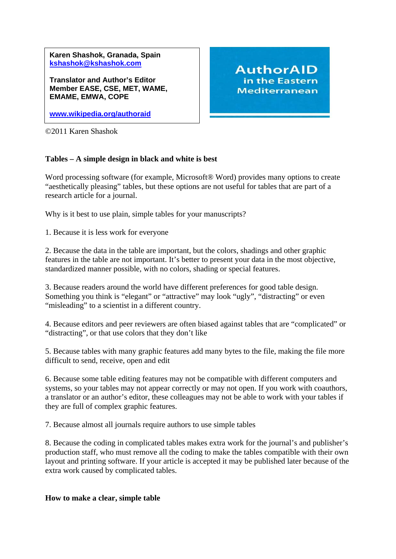**Karen Shashok, Granada, Spain [kshashok@kshashok.com](mailto:kshashok@kshashok.com)**

**Translator and Author's Editor Member EASE, CSE, MET, WAME, EMAME, EMWA, COPE** 

**[www.wikipedia.org/authoraid](http://www.wikipedia.org/authoraid)**

©2011 Karen Shashok

## **Tables – A simple design in black and white is best**

Word processing software (for example, Microsoft<sup>®</sup> Word) provides many options to create "aesthetically pleasing" tables, but these options are not useful for tables that are part of a research article for a journal.

**AuthorAID** in the Eastern **Mediterranean** 

Why is it best to use plain, simple tables for your manuscripts?

1. Because it is less work for everyone

2. Because the data in the table are important, but the colors, shadings and other graphic features in the table are not important. It's better to present your data in the most objective, standardized manner possible, with no colors, shading or special features.

3. Because readers around the world have different preferences for good table design. Something you think is "elegant" or "attractive" may look "ugly", "distracting" or even "misleading" to a scientist in a different country.

4. Because editors and peer reviewers are often biased against tables that are "complicated" or "distracting", or that use colors that they don't like

5. Because tables with many graphic features add many bytes to the file, making the file more difficult to send, receive, open and edit

6. Because some table editing features may not be compatible with different computers and systems, so your tables may not appear correctly or may not open. If you work with coauthors, a translator or an author's editor, these colleagues may not be able to work with your tables if they are full of complex graphic features.

7. Because almost all journals require authors to use simple tables

8. Because the coding in complicated tables makes extra work for the journal's and publisher's production staff, who must remove all the coding to make the tables compatible with their own layout and printing software. If your article is accepted it may be published later because of the extra work caused by complicated tables.

## **How to make a clear, simple table**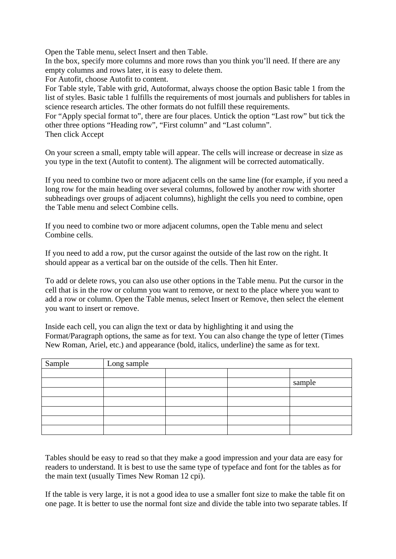Open the Table menu, select Insert and then Table.

In the box, specify more columns and more rows than you think you'll need. If there are any empty columns and rows later, it is easy to delete them.

For Autofit, choose Autofit to content.

For Table style, Table with grid, Autoformat, always choose the option Basic table 1 from the list of styles. Basic table 1 fulfills the requirements of most journals and publishers for tables in science research articles. The other formats do not fulfill these requirements.

For "Apply special format to", there are four places. Untick the option "Last row" but tick the other three options "Heading row", "First column" and "Last column". Then click Accept

On your screen a small, empty table will appear. The cells will increase or decrease in size as you type in the text (Autofit to content). The alignment will be corrected automatically.

If you need to combine two or more adjacent cells on the same line (for example, if you need a long row for the main heading over several columns, followed by another row with shorter subheadings over groups of adjacent columns), highlight the cells you need to combine, open the Table menu and select Combine cells.

If you need to combine two or more adjacent columns, open the Table menu and select Combine cells.

If you need to add a row, put the cursor against the outside of the last row on the right. It should appear as a vertical bar on the outside of the cells. Then hit Enter.

To add or delete rows, you can also use other options in the Table menu. Put the cursor in the cell that is in the row or column you want to remove, or next to the place where you want to add a row or column. Open the Table menus, select Insert or Remove, then select the element you want to insert or remove.

Inside each cell, you can align the text or data by highlighting it and using the Format/Paragraph options, the same as for text. You can also change the type of letter (Times New Roman, Ariel, etc.) and appearance (bold, italics, underline) the same as for text.

| Sample | Long sample |  |  |        |
|--------|-------------|--|--|--------|
|        |             |  |  |        |
|        |             |  |  | sample |
|        |             |  |  |        |
|        |             |  |  |        |
|        |             |  |  |        |
|        |             |  |  |        |
|        |             |  |  |        |

Tables should be easy to read so that they make a good impression and your data are easy for readers to understand. It is best to use the same type of typeface and font for the tables as for the main text (usually Times New Roman 12 cpi).

If the table is very large, it is not a good idea to use a smaller font size to make the table fit on one page. It is better to use the normal font size and divide the table into two separate tables. If